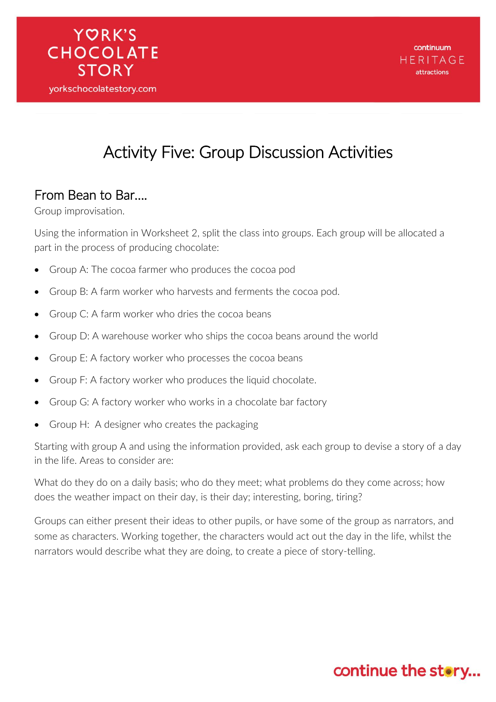## Activity Five: Group Discussion Activities

#### From Bean to Bar….

**YORK'S** 

**CHOCOLATE** 

**STORY** 

yorkschocolatestory.com

Group improvisation.

Using the information in Worksheet 2, split the class into groups. Each group will be allocated a part in the process of producing chocolate:

- Group A: The cocoa farmer who produces the cocoa pod
- Group B: A farm worker who harvests and ferments the cocoa pod.
- Group C: A farm worker who dries the cocoa beans
- Group D: A warehouse worker who ships the cocoa beans around the world
- Group E: A factory worker who processes the cocoa beans
- Group F: A factory worker who produces the liquid chocolate.
- Group G: A factory worker who works in a chocolate bar factory
- Group H: A designer who creates the packaging

Starting with group A and using the information provided, ask each group to devise a story of a day in the life. Areas to consider are:

What do they do on a daily basis; who do they meet; what problems do they come across; how does the weather impact on their day, is their day; interesting, boring, tiring?

Groups can either present their ideas to other pupils, or have some of the group as narrators, and some as characters. Working together, the characters would act out the day in the life, whilst the narrators would describe what they are doing, to create a piece of story-telling.

### continue the story...